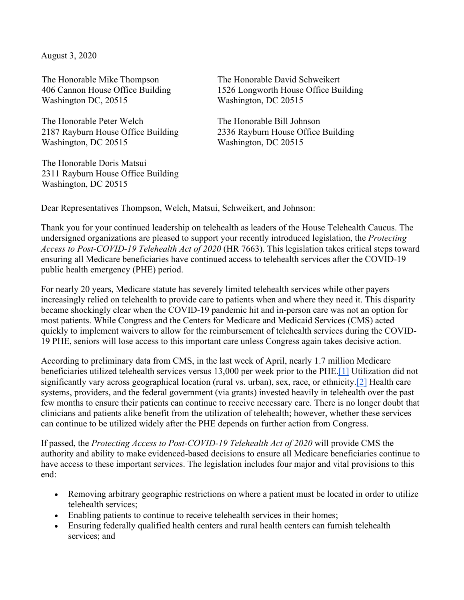August 3, 2020

The Honorable Mike Thompson 406 Cannon House Office Building Washington DC, 20515

The Honorable Peter Welch 2187 Rayburn House Office Building Washington, DC 20515

The Honorable Doris Matsui 2311 Rayburn House Office Building Washington, DC 20515

The Honorable David Schweikert 1526 Longworth House Office Building Washington, DC 20515

The Honorable Bill Johnson 2336 Rayburn House Office Building Washington, DC 20515

Dear Representatives Thompson, Welch, Matsui, Schweikert, and Johnson:

Thank you for your continued leadership on telehealth as leaders of the House Telehealth Caucus. The undersigned organizations are pleased to support your recently introduced legislation, the *Protecting Access to Post-COVID-19 Telehealth Act of 2020* (HR 7663). This legislation takes critical steps toward ensuring all Medicare beneficiaries have continued access to telehealth services after the COVID-19 public health emergency (PHE) period.

For nearly 20 years, Medicare statute has severely limited telehealth services while other payers increasingly relied on telehealth to provide care to patients when and where they need it. This disparity became shockingly clear when the COVID-19 pandemic hit and in-person care was not an option for most patients. While Congress and the Centers for Medicare and Medicaid Services (CMS) acted quickly to implement waivers to allow for the reimbursement of telehealth services during the COVID-19 PHE, seniors will lose access to this important care unless Congress again takes decisive action.

According to preliminary data from CMS, in the last week of April, nearly 1.7 million Medicare beneficiaries utilized telehealth services versus 13,000 per week prior to the PHE[.\[1\]](https://ehidc.sharepoint.com/Document/Government%20Affairs%20and%20Policy/Letters/HR%207663%20endorsement%20draft.docx#_ftn1) Utilization did not significantly vary across geographical location (rural vs. urban), sex, race, or ethnicity[.\[2\]](https://ehidc.sharepoint.com/Document/Government%20Affairs%20and%20Policy/Letters/HR%207663%20endorsement%20draft.docx#_ftn2) Health care systems, providers, and the federal government (via grants) invested heavily in telehealth over the past few months to ensure their patients can continue to receive necessary care. There is no longer doubt that clinicians and patients alike benefit from the utilization of telehealth; however, whether these services can continue to be utilized widely after the PHE depends on further action from Congress.

If passed, the *Protecting Access to Post-COVID-19 Telehealth Act of 2020* will provide CMS the authority and ability to make evidenced-based decisions to ensure all Medicare beneficiaries continue to have access to these important services. The legislation includes four major and vital provisions to this end:

- Removing arbitrary geographic restrictions on where a patient must be located in order to utilize telehealth services;
- Enabling patients to continue to receive telehealth services in their homes;
- Ensuring federally qualified health centers and rural health centers can furnish telehealth services; and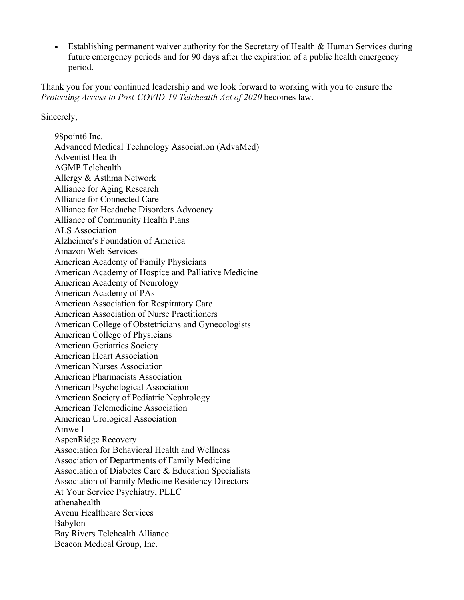• Establishing permanent waiver authority for the Secretary of Health & Human Services during future emergency periods and for 90 days after the expiration of a public health emergency period.

Thank you for your continued leadership and we look forward to working with you to ensure the *Protecting Access to Post-COVID-19 Telehealth Act of 2020* becomes law.

Sincerely,

98point6 Inc. Advanced Medical Technology Association (AdvaMed) Adventist Health AGMP Telehealth Allergy & Asthma Network Alliance for Aging Research Alliance for Connected Care Alliance for Headache Disorders Advocacy Alliance of Community Health Plans ALS Association Alzheimer's Foundation of America Amazon Web Services American Academy of Family Physicians American Academy of Hospice and Palliative Medicine American Academy of Neurology American Academy of PAs American Association for Respiratory Care American Association of Nurse Practitioners American College of Obstetricians and Gynecologists American College of Physicians American Geriatrics Society American Heart Association American Nurses Association American Pharmacists Association American Psychological Association American Society of Pediatric Nephrology American Telemedicine Association American Urological Association Amwell AspenRidge Recovery Association for Behavioral Health and Wellness Association of Departments of Family Medicine Association of Diabetes Care & Education Specialists Association of Family Medicine Residency Directors At Your Service Psychiatry, PLLC athenahealth Avenu Healthcare Services Babylon Bay Rivers Telehealth Alliance Beacon Medical Group, Inc.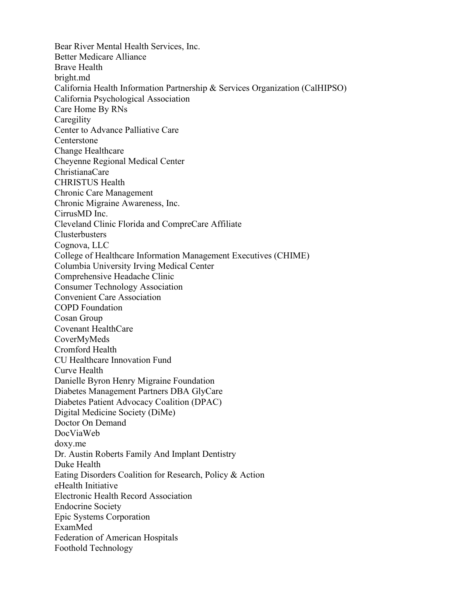Bear River Mental Health Services, Inc. Better Medicare Alliance Brave Health bright.md California Health Information Partnership & Services Organization (CalHIPSO) California Psychological Association Care Home By RNs **Caregility** Center to Advance Palliative Care Centerstone Change Healthcare Cheyenne Regional Medical Center ChristianaCare CHRISTUS Health Chronic Care Management Chronic Migraine Awareness, Inc. CirrusMD Inc. Cleveland Clinic Florida and CompreCare Affiliate **Clusterbusters** Cognova, LLC College of Healthcare Information Management Executives (CHIME) Columbia University Irving Medical Center Comprehensive Headache Clinic Consumer Technology Association Convenient Care Association COPD Foundation Cosan Group Covenant HealthCare CoverMyMeds Cromford Health CU Healthcare Innovation Fund Curve Health Danielle Byron Henry Migraine Foundation Diabetes Management Partners DBA GlyCare Diabetes Patient Advocacy Coalition (DPAC) Digital Medicine Society (DiMe) Doctor On Demand DocViaWeb doxy.me Dr. Austin Roberts Family And Implant Dentistry Duke Health Eating Disorders Coalition for Research, Policy & Action eHealth Initiative Electronic Health Record Association Endocrine Society Epic Systems Corporation ExamMed Federation of American Hospitals Foothold Technology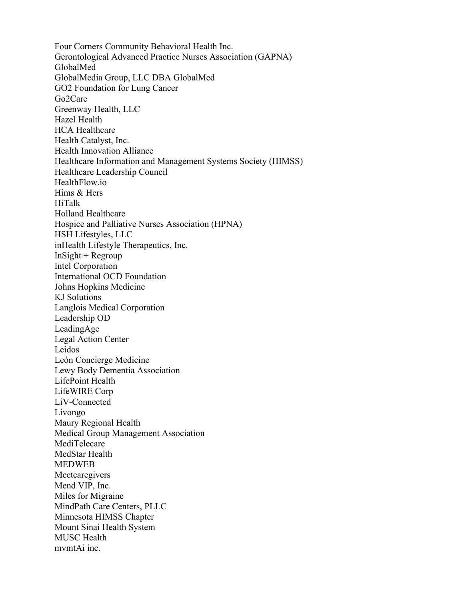Four Corners Community Behavioral Health Inc. Gerontological Advanced Practice Nurses Association (GAPNA) GlobalMed GlobalMedia Group, LLC DBA GlobalMed GO2 Foundation for Lung Cancer Go2Care Greenway Health, LLC Hazel Health HCA Healthcare Health Catalyst, Inc. Health Innovation Alliance Healthcare Information and Management Systems Society (HIMSS) Healthcare Leadership Council HealthFlow.io Hims & Hers HiTalk Holland Healthcare Hospice and Palliative Nurses Association (HPNA) HSH Lifestyles, LLC inHealth Lifestyle Therapeutics, Inc.  $InSight + Regroup$ Intel Corporation International OCD Foundation Johns Hopkins Medicine KJ Solutions Langlois Medical Corporation Leadership OD LeadingAge Legal Action Center Leidos León Concierge Medicine Lewy Body Dementia Association LifePoint Health LifeWIRE Corp LiV-Connected Livongo Maury Regional Health Medical Group Management Association MediTelecare MedStar Health MEDWEB Meetcaregivers Mend VIP, Inc. Miles for Migraine MindPath Care Centers, PLLC Minnesota HIMSS Chapter Mount Sinai Health System MUSC Health mvmtAi inc.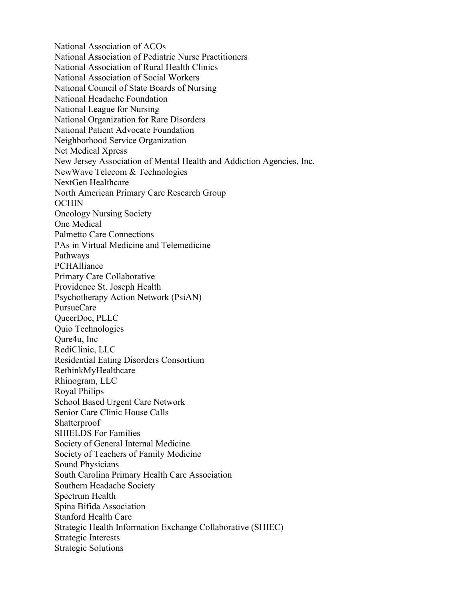National Association of ACOs National Association of Pediatric Nurse Practitioners National Association of Rural Health Clinics National Association of Social Workers National Council of State Boards of Nursing National Headache Foundation National League for Nursing National Organization for Rare Disorders National Patient Advocate Foundation Neighborhood Service Organization Net Medical Xpress New Jersey Association of Mental Health and Addiction Agencies, Inc. NewWave Telecom & Technologies NextGen Healthcare North American Primary Care Research Group OCHIN Oncology Nursing Society One Medical Palmetto Care Connections PAs in Virtual Medicine and Telemedicine Pathways **PCHAlliance** Primary Care Collaborative Providence St. Joseph Health Psychotherapy Action Network (PsiAN) PursueCare QueerDoc, PLLC Quio Technologies Qure4u, Inc RediClinic, LLC Residential Eating Disorders Consortium RethinkMyHealthcare Rhinogram, LLC Royal Philips School Based Urgent Care Network Senior Care Clinic House Calls **Shatterproof** SHIELDS For Families Society of General Internal Medicine Society of Teachers of Family Medicine Sound Physicians South Carolina Primary Health Care Association Southern Headache Society Spectrum Health Spina Bifida Association Stanford Health Care Strategic Health Information Exchange Collaborative (SHIEC) Strategic Interests Strategic Solutions